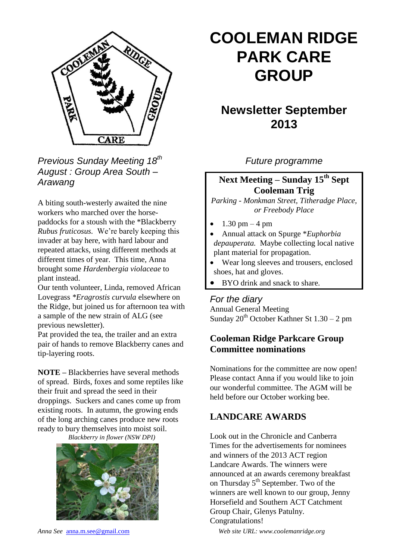

*Previous Sunday Meeting 18th August : Group Area South – Arawang*

A biting south-westerly awaited the nine workers who marched over the horsepaddocks for a stoush with the \*Blackberry *Rubus fruticosus.* We're barely keeping this invader at bay here, with hard labour and repeated attacks, using different methods at different times of year. This time, Anna brought some *Hardenbergia violaceae* to plant instead.

Our tenth volunteer, Linda, removed African Lovegrass *\*Eragrostis curvula* elsewhere on the Ridge, but joined us for afternoon tea with a sample of the new strain of ALG (see previous newsletter).

Pat provided the tea, the trailer and an extra pair of hands to remove Blackberry canes and tip-layering roots.

**NOTE –** Blackberries have several methods of spread. Birds, foxes and some reptiles like their fruit and spread the seed in their droppings. Suckers and canes come up from existing roots. In autumn, the growing ends of the long arching canes produce new roots ready to bury themselves into moist soil.

*Blackberry in flower (NSW DPI)*



# **COOLEMAN RIDGE PARK CARE GROUP**

# **Newsletter September 2013**

*Future programme*

# **Next Meeting – Sunday 15th Sept Cooleman Trig**

*Parking - Monkman Street, Titheradge Place, or Freebody Place*

- 1.30 pm 4 pm
- Annual attack on Spurge \**Euphorbia depauperata.* Maybe collecting local native plant material for propagation.
- Wear long sleeves and trousers, enclosed shoes, hat and gloves.
- BYO drink and snack to share.

#### *For the diary*

Annual General Meeting Sunday  $20^{th}$  October Kathner St  $1.30 - 2$  pm

### **Cooleman Ridge Parkcare Group Committee nominations**

Nominations for the committee are now open! Please contact Anna if you would like to join our wonderful committee. The AGM will be held before our October working bee.

# **LANDCARE AWARDS**

Look out in the Chronicle and Canberra Times for the advertisements for nominees and winners of the 2013 ACT region Landcare Awards. The winners were announced at an awards ceremony breakfast on Thursday 5<sup>th</sup> September. Two of the winners are well known to our group, Jenny Horsefield and Southern ACT Catchment Group Chair, Glenys Patulny. Congratulations!

*Anna See* anna.m.see@gmail.com *Web site URL: www.coolemanridge.org*